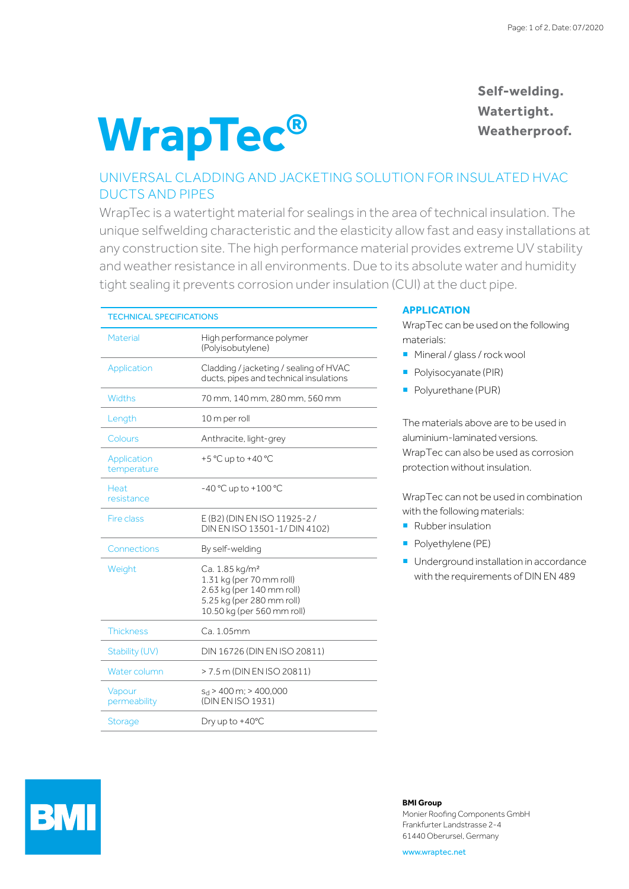# **WrapTec®**

**Self-welding. Watertight. Weatherproof.**

## UNIVERSAL CLADDING AND JACKETING SOLUTION FOR INSULATED HVAC DUCTS AND PIPES

WrapTec is a watertight material for sealings in the area of technical insulation. The unique selfwelding characteristic and the elasticity allow fast and easy installations at any construction site. The high performance material provides extreme UV stability and weather resistance in all environments. Due to its absolute water and humidity tight sealing it prevents corrosion under insulation (CUI) at the duct pipe.

| <b>TECHNICAL SPECIFICATIONS</b> |                                                                                                                                                |
|---------------------------------|------------------------------------------------------------------------------------------------------------------------------------------------|
| Material                        | High performance polymer<br>(Polyisobutylene)                                                                                                  |
| Application                     | Cladding / jacketing / sealing of HVAC<br>ducts, pipes and technical insulations                                                               |
| Widths                          | 70 mm, 140 mm, 280 mm, 560 mm                                                                                                                  |
| Length                          | 10 m per roll                                                                                                                                  |
| Colours                         | Anthracite, light-grey                                                                                                                         |
| Application<br>temperature      | +5 °C up to +40 °C                                                                                                                             |
| Heat.<br>resistance             | $-40 °C$ up to $+100 °C$                                                                                                                       |
| <b>Fire class</b>               | E (B2) (DIN EN ISO 11925-2/<br>DIN EN ISO 13501-1/ DIN 4102)                                                                                   |
| Connections                     | By self-welding                                                                                                                                |
| Weight                          | Ca. 1.85 kg/m <sup>2</sup><br>1.31 kg (per 70 mm roll)<br>2.63 kg (per 140 mm roll)<br>5.25 kg (per 280 mm roll)<br>10.50 kg (per 560 mm roll) |
| Thickness                       | C.a. 1.05mm                                                                                                                                    |
| Stability (UV)                  | DIN 16726 (DIN EN ISO 20811)                                                                                                                   |
| Water column                    | > 7.5 m (DIN EN ISO 20811)                                                                                                                     |
| Vapour<br>permeability          | $s_d$ > 400 m; > 400,000<br>(DIN EN ISO 1931)                                                                                                  |
| <b>Storage</b>                  | Dry up to $+40^{\circ}$ C                                                                                                                      |

## **APPLICATION**

WrapTec can be used on the following materials:

- **Mineral / glass / rock wool**
- **Polyisocyanate (PIR)**
- Polyurethane (PUR)

The materials above are to be used in aluminium-laminated versions. WrapTec can also be used as corrosion protection without insulation.

WrapTec can not be used in combination with the following materials:

- **Rubber insulation**
- **Polyethylene (PE)**
- Underground installation in accordance with the requirements of DIN EN 489



## **BMI Group**

Monier Roofing Components GmbH Frankfurter Landstrasse 2-4 61440 Oberursel, Germany

www.wraptec.net